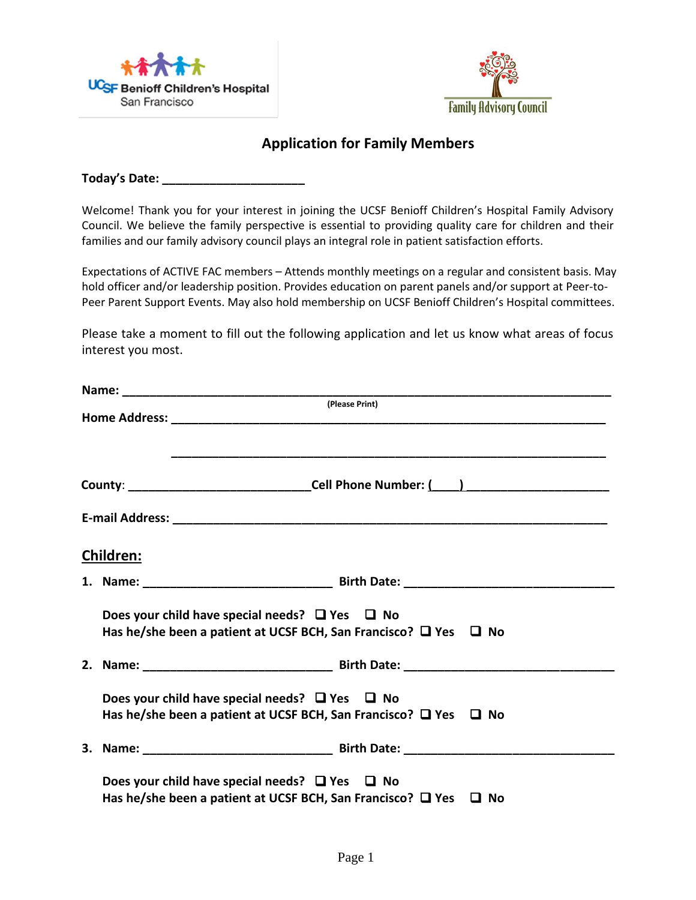



## **Application for Family Members**

**Today's Date: \_\_\_\_\_\_\_\_\_\_\_\_\_\_\_\_\_\_\_\_\_**

Welcome! Thank you for your interest in joining the UCSF Benioff Children's Hospital Family Advisory Council. We believe the family perspective is essential to providing quality care for children and their families and our family advisory council plays an integral role in patient satisfaction efforts.

Expectations of ACTIVE FAC members – Attends monthly meetings on a regular and consistent basis. May hold officer and/or leadership position. Provides education on parent panels and/or support at Peer-to-Peer Parent Support Events. May also hold membership on UCSF Benioff Children's Hospital committees.

Please take a moment to fill out the following application and let us know what areas of focus interest you most.

|                  | (Please Print)                                                                                                                         |  |
|------------------|----------------------------------------------------------------------------------------------------------------------------------------|--|
|                  |                                                                                                                                        |  |
|                  |                                                                                                                                        |  |
| <b>Children:</b> |                                                                                                                                        |  |
|                  |                                                                                                                                        |  |
|                  | Does your child have special needs? $\Box$ Yes $\Box$ No<br>Has he/she been a patient at UCSF BCH, San Francisco? $\Box$ Yes $\Box$ No |  |
|                  |                                                                                                                                        |  |
|                  | Does your child have special needs? $\Box$ Yes $\Box$ No<br>Has he/she been a patient at UCSF BCH, San Francisco? $\Box$ Yes $\Box$ No |  |
|                  |                                                                                                                                        |  |
|                  | Does your child have special needs? $\Box$ Yes $\Box$ No<br>Has he/she been a patient at UCSF BCH, San Francisco? $\Box$ Yes $\Box$ No |  |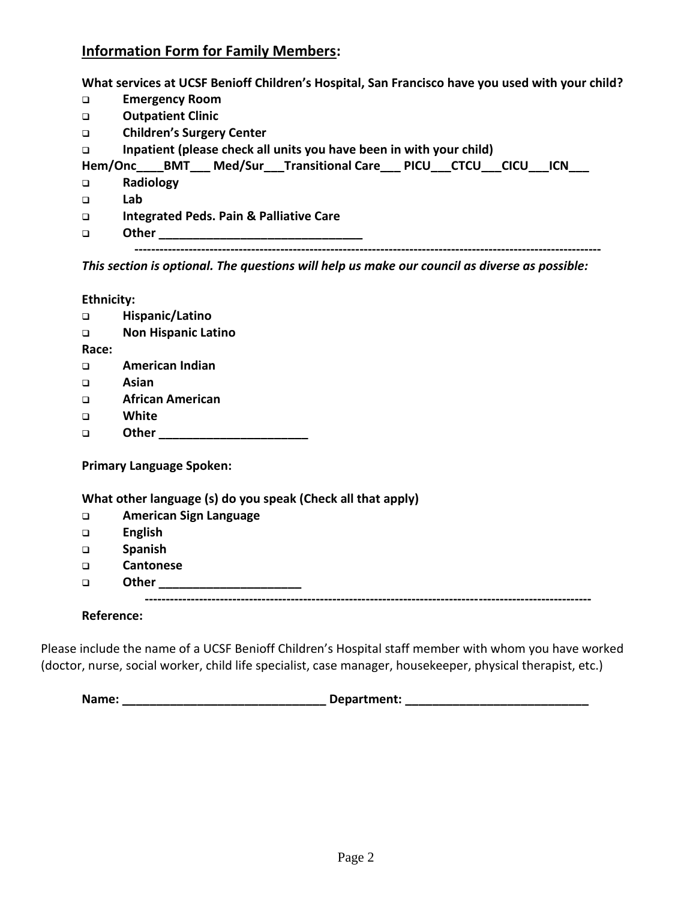## **Information Form for Family Members:**

**What services at UCSF Benioff Children's Hospital, San Francisco have you used with your child?** 

| <b>Children's Surgery Center</b>                                    |
|---------------------------------------------------------------------|
| Inpatient (please check all units you have been in with your child) |
| Hem/Onc BMT Med/Sur Transitional Care PICU CTCU CICU ICN            |
|                                                                     |
|                                                                     |
| <b>Integrated Peds. Pain &amp; Palliative Care</b>                  |
|                                                                     |
|                                                                     |
|                                                                     |

*This section is optional. The questions will help us make our council as diverse as possible:*

**Ethnicity:**

| $\Box$                                                      | Hispanic/Latino               |  |  |  |
|-------------------------------------------------------------|-------------------------------|--|--|--|
| $\Box$                                                      | <b>Non Hispanic Latino</b>    |  |  |  |
| Race:                                                       |                               |  |  |  |
| $\Box$                                                      | American Indian               |  |  |  |
| $\Box$                                                      | Asian                         |  |  |  |
| $\Box$                                                      | <b>African American</b>       |  |  |  |
| $\Box$                                                      | White                         |  |  |  |
| $\Box$                                                      | Other                         |  |  |  |
| <b>Primary Language Spoken:</b>                             |                               |  |  |  |
| What other language (s) do you speak (Check all that apply) |                               |  |  |  |
| $\Box$                                                      | <b>American Sign Language</b> |  |  |  |
| $\Box$                                                      | <b>English</b>                |  |  |  |
| $\Box$                                                      | <b>Spanish</b>                |  |  |  |
|                                                             |                               |  |  |  |

- ❑ **Cantonese**
- ❑ **Other \_\_\_\_\_\_\_\_\_\_\_\_\_\_\_\_\_\_\_\_\_ -----------------------------------------------------------------------------------------------------------**

**Reference:**

Please include the name of a UCSF Benioff Children's Hospital staff member with whom you have worked (doctor, nurse, social worker, child life specialist, case manager, housekeeper, physical therapist, etc.)

**Name: \_\_\_\_\_\_\_\_\_\_\_\_\_\_\_\_\_\_\_\_\_\_\_\_\_\_\_\_\_\_ Department: \_\_\_\_\_\_\_\_\_\_\_\_\_\_\_\_\_\_\_\_\_\_\_\_\_\_\_**